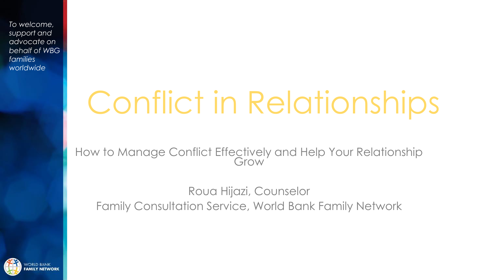# Conflict in Relationships

How to Manage Conflict Effectively and Help Your Relationship Grow

#### Roua Hijazi, Counselor Family Consultation Service, World Bank Family Network

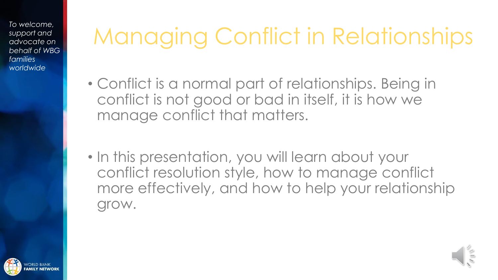## Managing Conflict in Relationships

- Conflict is a normal part of relationships. Being in conflict is not good or bad in itself, it is how we manage conflict that matters.
- In this presentation, you will learn about your conflict resolution style, how to manage conflict more effectively, and how to help your relationship grow.



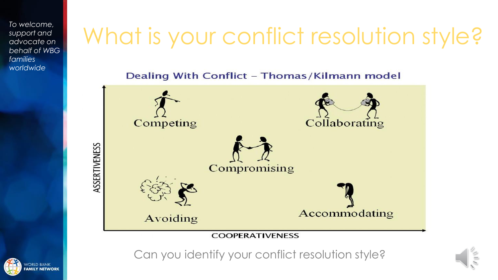#### What is your conflict resolution style?

Dealing With Conflict - Thomas/Kilmann model



Can you identify your conflict resolution style?



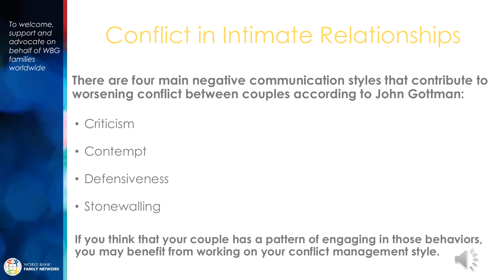### Conflict in Intimate Relationships

**There are four main negative communication styles that contribute to worsening conflict between couples according to John Gottman:**

- Criticism
- Contempt
- Defensiveness
- Stonewalling

**If you think that your couple has a pattern of engaging in those behaviors, you may benefit from working on your conflict management style.**

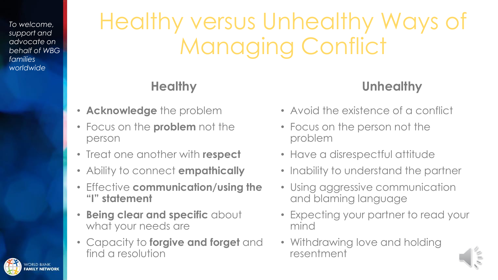### Healthy versus Unhealthy Ways of Managing Conflict

#### **Healthy**

- **Acknowledge** the problem
- Focus on the **problem** not the person
- Treat one another with **respect**
- Ability to connect **empathically**
- Effective **communication/using the "I" statement**
- **Being clear and specific** about what your needs are
- Capacity to **forgive and forget** and find a resolution

#### **Unhealthy**

- Avoid the existence of a conflict
- Focus on the person not the problem
- Have a disrespectful attitude
- Inability to understand the partner
- Using aggressive communication and blaming language
- Expecting your partner to read your mind
- Withdrawing love and holding resentment



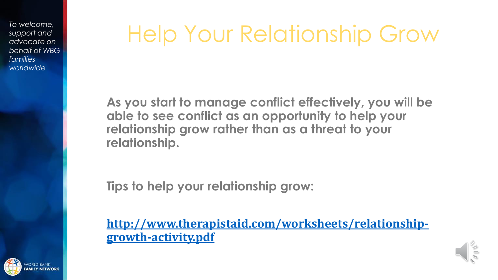#### Help Your Relationship Grow

**As you start to manage conflict effectively, you will be able to see conflict as an opportunity to help your relationship grow rather than as a threat to your relationship.**

**Tips to help your relationship grow:**

**[http://www.therapistaid.com/worksheets/relationship](http://www.therapistaid.com/worksheets/relationship-growth-activity.pdf)growth-activity.pdf**